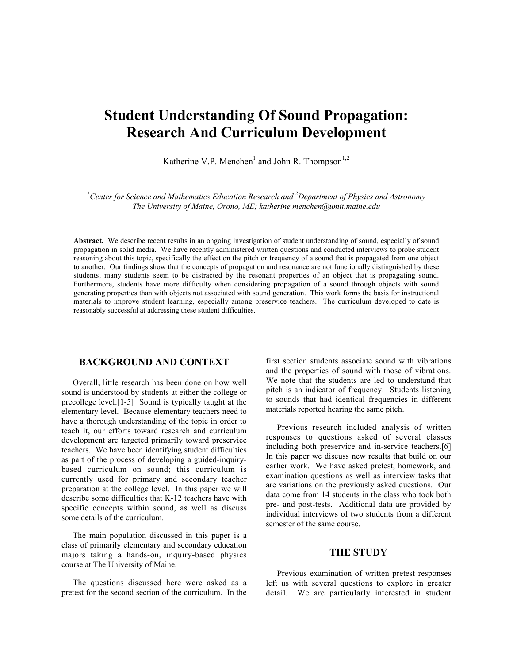# **Student Understanding Of Sound Propagation: Research And Curriculum Development**

Katherine V.P. Menchen<sup>1</sup> and John R. Thompson<sup>1,2</sup>

*1 Center for Science and Mathematics Education Research and 2 Department of Physics and Astronomy The University of Maine, Orono, ME; katherine.menchen@umit.maine.edu*

**Abstract.** We describe recent results in an ongoing investigation of student understanding of sound, especially of sound propagation in solid media. We have recently administered written questions and conducted interviews to probe student reasoning about this topic, specifically the effect on the pitch or frequency of a sound that is propagated from one object to another. Our findings show that the concepts of propagation and resonance are not functionally distinguished by these students; many students seem to be distracted by the resonant properties of an object that is propagating sound. Furthermore, students have more difficulty when considering propagation of a sound through objects with sound generating properties than with objects not associated with sound generation. This work forms the basis for instructional materials to improve student learning, especially among preservice teachers. The curriculum developed to date is reasonably successful at addressing these student difficulties.

# **BACKGROUND AND CONTEXT**

Overall, little research has been done on how well sound is understood by students at either the college or precollege level.[1-5] Sound is typically taught at the elementary level. Because elementary teachers need to have a thorough understanding of the topic in order to teach it, our efforts toward research and curriculum development are targeted primarily toward preservice teachers. We have been identifying student difficulties as part of the process of developing a guided-inquirybased curriculum on sound; this curriculum is currently used for primary and secondary teacher preparation at the college level. In this paper we will describe some difficulties that K-12 teachers have with specific concepts within sound, as well as discuss some details of the curriculum.

The main population discussed in this paper is a class of primarily elementary and secondary education majors taking a hands-on, inquiry-based physics course at The University of Maine.

The questions discussed here were asked as a pretest for the second section of the curriculum. In the first section students associate sound with vibrations and the properties of sound with those of vibrations. We note that the students are led to understand that pitch is an indicator of frequency. Students listening to sounds that had identical frequencies in different materials reported hearing the same pitch.

Previous research included analysis of written responses to questions asked of several classes including both preservice and in-service teachers.[6] In this paper we discuss new results that build on our earlier work. We have asked pretest, homework, and examination questions as well as interview tasks that are variations on the previously asked questions. Our data come from 14 students in the class who took both pre- and post-tests. Additional data are provided by individual interviews of two students from a different semester of the same course.

## **THE STUDY**

Previous examination of written pretest responses left us with several questions to explore in greater detail. We are particularly interested in student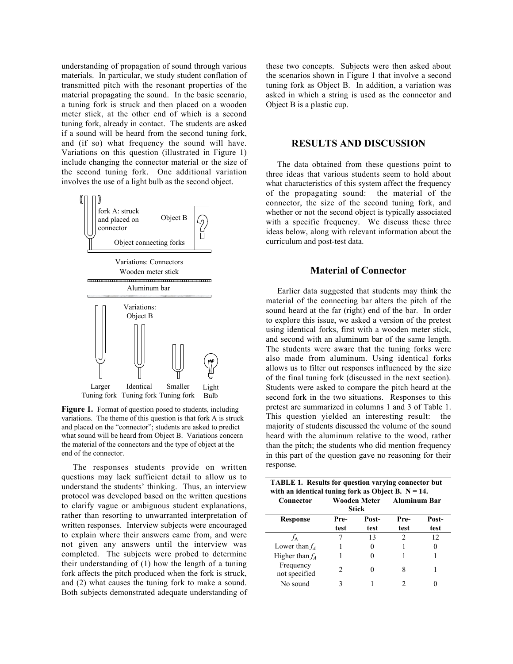understanding of propagation of sound through various materials. In particular, we study student conflation of transmitted pitch with the resonant properties of the material propagating the sound. In the basic scenario, a tuning fork is struck and then placed on a wooden meter stick, at the other end of which is a second tuning fork, already in contact. The students are asked if a sound will be heard from the second tuning fork, and (if so) what frequency the sound will have. Variations on this question (illustrated in Figure 1) include changing the connector material or the size of the second tuning fork. One additional variation involves the use of a light bulb as the second object.



Figure 1. Format of question posed to students, including variations. The theme of this question is that fork A is struck and placed on the "connector"; students are asked to predict what sound will be heard from Object B. Variations concern the material of the connectors and the type of object at the end of the connector.

The responses students provide on written questions may lack sufficient detail to allow us to understand the students' thinking. Thus, an interview protocol was developed based on the written questions to clarify vague or ambiguous student explanations, rather than resorting to unwarranted interpretation of written responses. Interview subjects were encouraged to explain where their answers came from, and were not given any answers until the interview was completed. The subjects were probed to determine their understanding of (1) how the length of a tuning fork affects the pitch produced when the fork is struck, and (2) what causes the tuning fork to make a sound. Both subjects demonstrated adequate understanding of these two concepts. Subjects were then asked about the scenarios shown in Figure 1 that involve a second tuning fork as Object B. In addition, a variation was asked in which a string is used as the connector and Object B is a plastic cup.

# **RESULTS AND DISCUSSION**

The data obtained from these questions point to three ideas that various students seem to hold about what characteristics of this system affect the frequency of the propagating sound: the material of the connector, the size of the second tuning fork, and whether or not the second object is typically associated with a specific frequency. We discuss these three ideas below, along with relevant information about the curriculum and post-test data.

#### **Material of Connector**

Earlier data suggested that students may think the material of the connecting bar alters the pitch of the sound heard at the far (right) end of the bar. In order to explore this issue, we asked a version of the pretest using identical forks, first with a wooden meter stick, and second with an aluminum bar of the same length. The students were aware that the tuning forks were also made from aluminum. Using identical forks allows us to filter out responses influenced by the size of the final tuning fork (discussed in the next section). Students were asked to compare the pitch heard at the second fork in the two situations. Responses to this pretest are summarized in columns 1 and 3 of Table 1. This question yielded an interesting result: the majority of students discussed the volume of the sound heard with the aluminum relative to the wood, rather than the pitch; the students who did mention frequency in this part of the question gave no reasoning for their response.

| <b>TABLE 1. Results for question varying connector but</b><br>with an identical tuning fork as Object B. $N = 14$ . |               |       |                           |       |  |  |
|---------------------------------------------------------------------------------------------------------------------|---------------|-------|---------------------------|-------|--|--|
| Connector                                                                                                           |               | Stick | Wooden Meter Aluminum Bar |       |  |  |
| <b>Response</b>                                                                                                     | Pre-          | Post- | Pre-                      | Post- |  |  |
|                                                                                                                     | test          | test  | test                      | test  |  |  |
|                                                                                                                     |               | 13    | $\mathfrak{D}$            | 12    |  |  |
| Lower than $f_4$                                                                                                    |               |       |                           |       |  |  |
| Higher than $f_4$                                                                                                   |               |       |                           |       |  |  |
| Frequency<br>not specified                                                                                          | $\mathcal{L}$ |       | 8                         |       |  |  |
| No sound                                                                                                            |               |       |                           |       |  |  |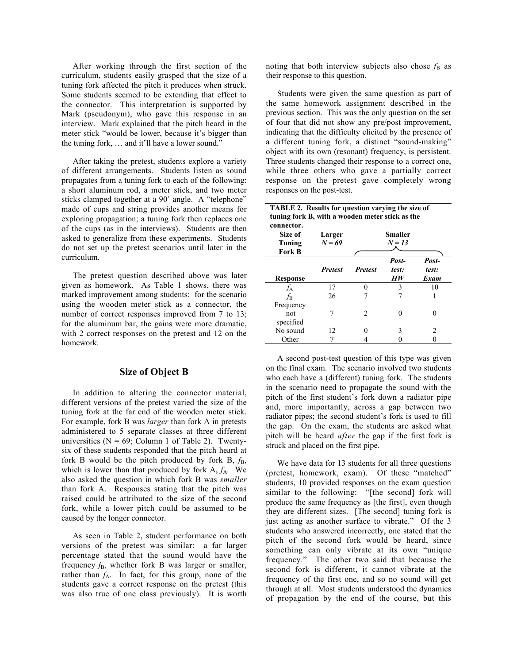After working through the first section of the curriculum, students easily grasped that the size of a tuning fork affected the pitch it produces when struck. Some students seemed to be extending that effect to the connector. This interpretation is supported by Mark (pseudonym), who gave this response in an interview. Mark explained that the pitch heard in the meter stick "would be lower, because it's bigger than the tuning fork, … and it'll have a lower sound."

After taking the pretest, students explore a variety of different arrangements. Students listen as sound propagates from a tuning fork to each of the following: a short aluminum rod, a meter stick, and two meter sticks clamped together at a 90˚ angle. A "telephone" made of cups and string provides another means for exploring propagation; a tuning fork then replaces one of the cups (as in the interviews). Students are then asked to generalize from these experiments. Students do not set up the pretest scenarios until later in the curriculum.

The pretest question described above was later given as homework. As Table 1 shows, there was marked improvement among students: for the scenario using the wooden meter stick as a connector, the number of correct responses improved from 7 to 13; for the aluminum bar, the gains were more dramatic, with 2 correct responses on the pretest and 12 on the homework.

## **Size of Object B**

In addition to altering the connector material, different versions of the pretest varied the size of the tuning fork at the far end of the wooden meter stick. For example, fork B was *larger* than fork A in pretests administered to 5 separate classes at three different universities ( $N = 69$ ; Column 1 of Table 2). Twentysix of these students responded that the pitch heard at fork B would be the pitch produced by fork B,  $f_B$ , which is lower than that produced by fork  $A, f_A$ . We also asked the question in which fork B was *smaller* than fork A. Responses stating that the pitch was raised could be attributed to the size of the second fork, while a lower pitch could be assumed to be caused by the longer connector.

As seen in Table 2, student performance on both versions of the pretest was similar: a far larger percentage stated that the sound would have the frequency  $f_B$ , whether fork B was larger or smaller, rather than  $f_A$ . In fact, for this group, none of the students gave a correct response on the pretest (this was also true of one class previously). It is worth

noting that both interview subjects also chose  $f_B$  as their response to this question.

Students were given the same question as part of the same homework assignment described in the previous section. This was the only question on the set of four that did not show any pre/post improvement, indicating that the difficulty elicited by the presence of a different tuning fork, a distinct "sound-making" object with its own (resonant) frequency, is persistent. Three students changed their response to a correct one, while three others who gave a partially correct response on the pretest gave completely wrong responses on the post-test.

| TABLE 2. Results for question varying the size of |
|---------------------------------------------------|
| tuning fork B, with a wooden meter stick as the   |
| connector.                                        |

| ,,,,,,,,,,,,<br>Size of<br>Tuning<br><b>Fork B</b> | Larger<br>$N = 69$ |                | <b>Smaller</b><br>$N = 13$ |                        |
|----------------------------------------------------|--------------------|----------------|----------------------------|------------------------|
| <b>Response</b>                                    | <b>Pretest</b>     | <b>Pretest</b> | Post-<br>test:<br>HW       | Post-<br>test:<br>Exam |
| fл                                                 | 17                 |                | 3                          | 10                     |
| $f_{\rm B}$                                        | 26                 |                |                            |                        |
| Frequency<br>not<br>specified                      |                    | 2              | 0                          |                        |
| No sound                                           | 12                 |                | 3                          | 2                      |
| Other                                              |                    |                |                            |                        |

A second post-test question of this type was given on the final exam. The scenario involved two students who each have a (different) tuning fork. The students in the scenario need to propagate the sound with the pitch of the first student's fork down a radiator pipe and, more importantly, across a gap between two radiator pipes; the second student's fork is used to fill the gap. On the exam, the students are asked what pitch will be heard *after* the gap if the first fork is struck and placed on the first pipe.

We have data for 13 students for all three questions (pretest, homework, exam). Of these "matched" students, 10 provided responses on the exam question similar to the following: "[the second] fork will produce the same frequency as [the first], even though they are different sizes. [The second] tuning fork is just acting as another surface to vibrate." Of the 3 students who answered incorrectly, one stated that the pitch of the second fork would be heard, since something can only vibrate at its own "unique frequency." The other two said that because the second fork is different, it cannot vibrate at the frequency of the first one, and so no sound will get through at all. Most students understood the dynamics of propagation by the end of the course, but this